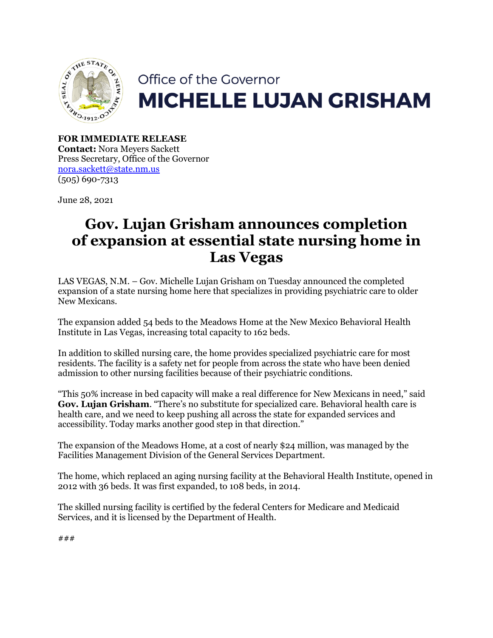

## Office of the Governor **MICHELLE LUJAN GRISHAM**

**FOR IMMEDIATE RELEASE Contact:** Nora Meyers Sackett Press Secretary, Office of the Governor [nora.sackett@state.nm.us](mailto:nora.sackett@state.nm.us) (505) 690-7313

June 28, 2021

## **Gov. Lujan Grisham announces completion of expansion at essential state nursing home in Las Vegas**

LAS VEGAS, N.M. – Gov. Michelle Lujan Grisham on Tuesday announced the completed expansion of a state nursing home here that specializes in providing psychiatric care to older New Mexicans.

The expansion added 54 beds to the Meadows Home at the New Mexico Behavioral Health Institute in Las Vegas, increasing total capacity to 162 beds.

In addition to skilled nursing care, the home provides specialized psychiatric care for most residents. The facility is a safety net for people from across the state who have been denied admission to other nursing facilities because of their psychiatric conditions.

"This 50% increase in bed capacity will make a real difference for New Mexicans in need," said **Gov. Lujan Grisham**. "There's no substitute for specialized care. Behavioral health care is health care, and we need to keep pushing all across the state for expanded services and accessibility. Today marks another good step in that direction."

The expansion of the Meadows Home, at a cost of nearly \$24 million, was managed by the Facilities Management Division of the General Services Department.

The home, which replaced an aging nursing facility at the Behavioral Health Institute, opened in 2012 with 36 beds. It was first expanded, to 108 beds, in 2014.

The skilled nursing facility is certified by the federal Centers for Medicare and Medicaid Services, and it is licensed by the Department of Health.

###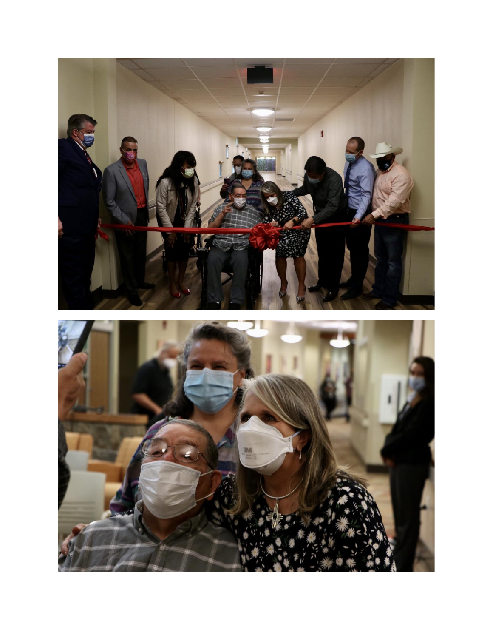